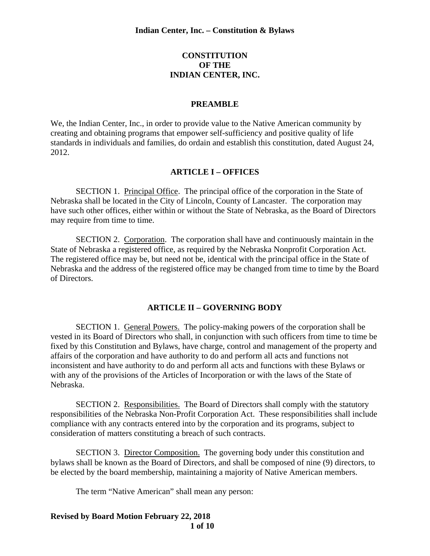### **CONSTITUTION OF THE INDIAN CENTER, INC.**

#### **PREAMBLE**

We, the Indian Center, Inc., in order to provide value to the Native American community by creating and obtaining programs that empower self-sufficiency and positive quality of life standards in individuals and families, do ordain and establish this constitution, dated August 24, 2012.

#### **ARTICLE I – OFFICES**

SECTION 1. Principal Office. The principal office of the corporation in the State of Nebraska shall be located in the City of Lincoln, County of Lancaster. The corporation may have such other offices, either within or without the State of Nebraska, as the Board of Directors may require from time to time.

SECTION 2. Corporation. The corporation shall have and continuously maintain in the State of Nebraska a registered office, as required by the Nebraska Nonprofit Corporation Act. The registered office may be, but need not be, identical with the principal office in the State of Nebraska and the address of the registered office may be changed from time to time by the Board of Directors.

#### **ARTICLE II – GOVERNING BODY**

SECTION 1. General Powers. The policy-making powers of the corporation shall be vested in its Board of Directors who shall, in conjunction with such officers from time to time be fixed by this Constitution and Bylaws, have charge, control and management of the property and affairs of the corporation and have authority to do and perform all acts and functions not inconsistent and have authority to do and perform all acts and functions with these Bylaws or with any of the provisions of the Articles of Incorporation or with the laws of the State of Nebraska.

SECTION 2. Responsibilities. The Board of Directors shall comply with the statutory responsibilities of the Nebraska Non-Profit Corporation Act. These responsibilities shall include compliance with any contracts entered into by the corporation and its programs, subject to consideration of matters constituting a breach of such contracts.

SECTION 3. Director Composition. The governing body under this constitution and bylaws shall be known as the Board of Directors, and shall be composed of nine (9) directors, to be elected by the board membership, maintaining a majority of Native American members.

The term "Native American" shall mean any person:

**Revised by Board Motion February 22, 2018 1 of 10**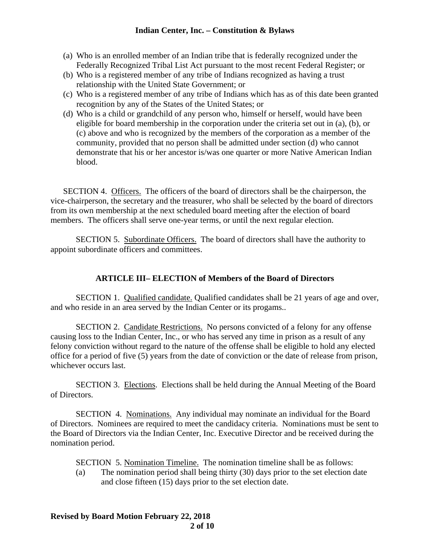- (a) Who is an enrolled member of an Indian tribe that is federally recognized under the Federally Recognized Tribal List Act pursuant to the most recent Federal Register; or
- (b) Who is a registered member of any tribe of Indians recognized as having a trust relationship with the United State Government; or
- (c) Who is a registered member of any tribe of Indians which has as of this date been granted recognition by any of the States of the United States; or
- (d) Who is a child or grandchild of any person who, himself or herself, would have been eligible for board membership in the corporation under the criteria set out in (a), (b), or (c) above and who is recognized by the members of the corporation as a member of the community, provided that no person shall be admitted under section (d) who cannot demonstrate that his or her ancestor is/was one quarter or more Native American Indian blood.

SECTION 4. Officers. The officers of the board of directors shall be the chairperson, the vice-chairperson, the secretary and the treasurer, who shall be selected by the board of directors from its own membership at the next scheduled board meeting after the election of board members. The officers shall serve one-year terms, or until the next regular election.

SECTION 5. Subordinate Officers. The board of directors shall have the authority to appoint subordinate officers and committees.

# **ARTICLE III– ELECTION of Members of the Board of Directors**

SECTION 1. Qualified candidate. Qualified candidates shall be 21 years of age and over, and who reside in an area served by the Indian Center or its progams..

SECTION 2. Candidate Restrictions. No persons convicted of a felony for any offense causing loss to the Indian Center, Inc., or who has served any time in prison as a result of any felony conviction without regard to the nature of the offense shall be eligible to hold any elected office for a period of five (5) years from the date of conviction or the date of release from prison, whichever occurs last.

SECTION 3. Elections. Elections shall be held during the Annual Meeting of the Board of Directors.

SECTION 4. Nominations. Any individual may nominate an individual for the Board of Directors. Nominees are required to meet the candidacy criteria. Nominations must be sent to the Board of Directors via the Indian Center, Inc. Executive Director and be received during the nomination period.

SECTION 5. Nomination Timeline. The nomination timeline shall be as follows:

(a) The nomination period shall being thirty (30) days prior to the set election date and close fifteen (15) days prior to the set election date.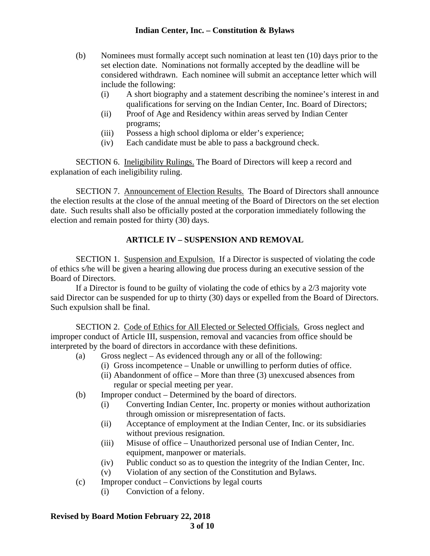- (b) Nominees must formally accept such nomination at least ten (10) days prior to the set election date. Nominations not formally accepted by the deadline will be considered withdrawn. Each nominee will submit an acceptance letter which will include the following:
	- (i) A short biography and a statement describing the nominee's interest in and qualifications for serving on the Indian Center, Inc. Board of Directors;
	- (ii) Proof of Age and Residency within areas served by Indian Center programs;
	- (iii) Possess a high school diploma or elder's experience;
	- (iv) Each candidate must be able to pass a background check.

SECTION 6. Ineligibility Rulings. The Board of Directors will keep a record and explanation of each ineligibility ruling.

SECTION 7. Announcement of Election Results. The Board of Directors shall announce the election results at the close of the annual meeting of the Board of Directors on the set election date. Such results shall also be officially posted at the corporation immediately following the election and remain posted for thirty (30) days.

# **ARTICLE IV – SUSPENSION AND REMOVAL**

SECTION 1. Suspension and Expulsion. If a Director is suspected of violating the code of ethics s/he will be given a hearing allowing due process during an executive session of the Board of Directors.

If a Director is found to be guilty of violating the code of ethics by a 2/3 majority vote said Director can be suspended for up to thirty (30) days or expelled from the Board of Directors. Such expulsion shall be final.

SECTION 2. Code of Ethics for All Elected or Selected Officials. Gross neglect and improper conduct of Article III, suspension, removal and vacancies from office should be interpreted by the board of directors in accordance with these definitions.

- (a) Gross neglect As evidenced through any or all of the following:
	- (i) Gross incompetence Unable or unwilling to perform duties of office.
		- (ii) Abandonment of office More than three (3) unexcused absences from regular or special meeting per year.
- (b) Improper conduct Determined by the board of directors.
	- (i) Converting Indian Center, Inc. property or monies without authorization through omission or misrepresentation of facts.
	- (ii) Acceptance of employment at the Indian Center, Inc. or its subsidiaries without previous resignation.
	- (iii) Misuse of office Unauthorized personal use of Indian Center, Inc. equipment, manpower or materials.
	- (iv) Public conduct so as to question the integrity of the Indian Center, Inc.
	- (v) Violation of any section of the Constitution and Bylaws.
- (c) Improper conduct Convictions by legal courts
	- (i) Conviction of a felony.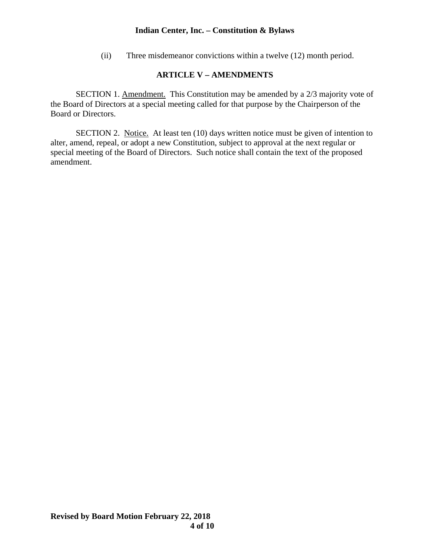(ii) Three misdemeanor convictions within a twelve (12) month period.

# **ARTICLE V – AMENDMENTS**

SECTION 1. Amendment. This Constitution may be amended by a 2/3 majority vote of the Board of Directors at a special meeting called for that purpose by the Chairperson of the Board or Directors.

SECTION 2. Notice. At least ten (10) days written notice must be given of intention to alter, amend, repeal, or adopt a new Constitution, subject to approval at the next regular or special meeting of the Board of Directors. Such notice shall contain the text of the proposed amendment.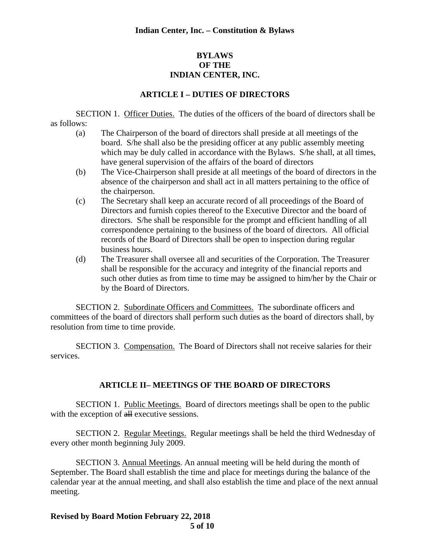# **BYLAWS OF THE INDIAN CENTER, INC.**

## **ARTICLE I – DUTIES OF DIRECTORS**

SECTION 1. Officer Duties. The duties of the officers of the board of directors shall be as follows:

- (a) The Chairperson of the board of directors shall preside at all meetings of the board. S/he shall also be the presiding officer at any public assembly meeting which may be duly called in accordance with the Bylaws. S/he shall, at all times, have general supervision of the affairs of the board of directors
- (b) The Vice-Chairperson shall preside at all meetings of the board of directors in the absence of the chairperson and shall act in all matters pertaining to the office of the chairperson.
- (c) The Secretary shall keep an accurate record of all proceedings of the Board of Directors and furnish copies thereof to the Executive Director and the board of directors. S/he shall be responsible for the prompt and efficient handling of all correspondence pertaining to the business of the board of directors. All official records of the Board of Directors shall be open to inspection during regular business hours.
- (d) The Treasurer shall oversee all and securities of the Corporation. The Treasurer shall be responsible for the accuracy and integrity of the financial reports and such other duties as from time to time may be assigned to him/her by the Chair or by the Board of Directors.

SECTION 2. Subordinate Officers and Committees. The subordinate officers and committees of the board of directors shall perform such duties as the board of directors shall, by resolution from time to time provide.

SECTION 3. Compensation. The Board of Directors shall not receive salaries for their services.

# **ARTICLE II– MEETINGS OF THE BOARD OF DIRECTORS**

SECTION 1. Public Meetings. Board of directors meetings shall be open to the public with the exception of all executive sessions.

SECTION 2. Regular Meetings. Regular meetings shall be held the third Wednesday of every other month beginning July 2009.

SECTION 3. Annual Meetings. An annual meeting will be held during the month of September. The Board shall establish the time and place for meetings during the balance of the calendar year at the annual meeting, and shall also establish the time and place of the next annual meeting.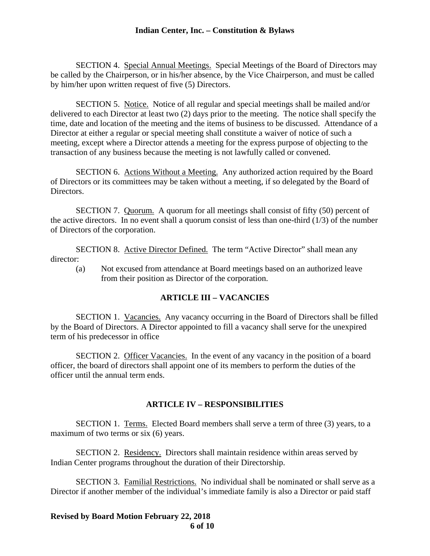SECTION 4. Special Annual Meetings. Special Meetings of the Board of Directors may be called by the Chairperson, or in his/her absence, by the Vice Chairperson, and must be called by him/her upon written request of five (5) Directors.

SECTION 5. Notice. Notice of all regular and special meetings shall be mailed and/or delivered to each Director at least two (2) days prior to the meeting. The notice shall specify the time, date and location of the meeting and the items of business to be discussed. Attendance of a Director at either a regular or special meeting shall constitute a waiver of notice of such a meeting, except where a Director attends a meeting for the express purpose of objecting to the transaction of any business because the meeting is not lawfully called or convened.

SECTION 6. Actions Without a Meeting. Any authorized action required by the Board of Directors or its committees may be taken without a meeting, if so delegated by the Board of Directors.

SECTION 7. Quorum. A quorum for all meetings shall consist of fifty (50) percent of the active directors. In no event shall a quorum consist of less than one-third  $(1/3)$  of the number of Directors of the corporation.

SECTION 8. Active Director Defined. The term "Active Director" shall mean any director:

(a) Not excused from attendance at Board meetings based on an authorized leave from their position as Director of the corporation.

#### **ARTICLE III – VACANCIES**

SECTION 1. Vacancies. Any vacancy occurring in the Board of Directors shall be filled by the Board of Directors. A Director appointed to fill a vacancy shall serve for the unexpired term of his predecessor in office

SECTION 2. Officer Vacancies. In the event of any vacancy in the position of a board officer, the board of directors shall appoint one of its members to perform the duties of the officer until the annual term ends.

#### **ARTICLE IV – RESPONSIBILITIES**

SECTION 1. Terms. Elected Board members shall serve a term of three (3) years, to a maximum of two terms or six (6) years.

SECTION 2. Residency. Directors shall maintain residence within areas served by Indian Center programs throughout the duration of their Directorship.

SECTION 3. Familial Restrictions. No individual shall be nominated or shall serve as a Director if another member of the individual's immediate family is also a Director or paid staff

**Revised by Board Motion February 22, 2018 6 of 10**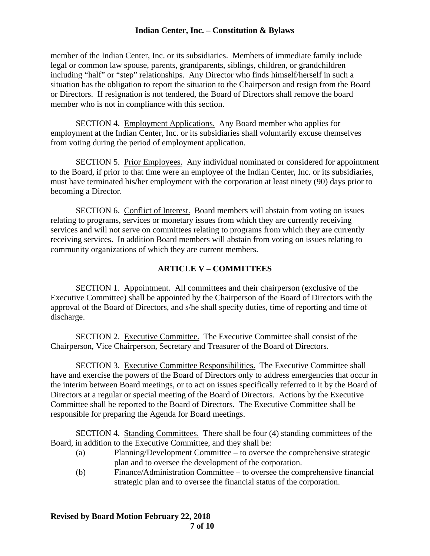member of the Indian Center, Inc. or its subsidiaries. Members of immediate family include legal or common law spouse, parents, grandparents, siblings, children, or grandchildren including "half" or "step" relationships. Any Director who finds himself/herself in such a situation has the obligation to report the situation to the Chairperson and resign from the Board or Directors. If resignation is not tendered, the Board of Directors shall remove the board member who is not in compliance with this section.

SECTION 4. Employment Applications. Any Board member who applies for employment at the Indian Center, Inc. or its subsidiaries shall voluntarily excuse themselves from voting during the period of employment application.

SECTION 5. Prior Employees. Any individual nominated or considered for appointment to the Board, if prior to that time were an employee of the Indian Center, Inc. or its subsidiaries, must have terminated his/her employment with the corporation at least ninety (90) days prior to becoming a Director.

SECTION 6. Conflict of Interest. Board members will abstain from voting on issues relating to programs, services or monetary issues from which they are currently receiving services and will not serve on committees relating to programs from which they are currently receiving services. In addition Board members will abstain from voting on issues relating to community organizations of which they are current members.

# **ARTICLE V – COMMITTEES**

SECTION 1. Appointment. All committees and their chairperson (exclusive of the Executive Committee) shall be appointed by the Chairperson of the Board of Directors with the approval of the Board of Directors, and s/he shall specify duties, time of reporting and time of discharge.

SECTION 2. Executive Committee. The Executive Committee shall consist of the Chairperson, Vice Chairperson, Secretary and Treasurer of the Board of Directors.

SECTION 3. Executive Committee Responsibilities. The Executive Committee shall have and exercise the powers of the Board of Directors only to address emergencies that occur in the interim between Board meetings, or to act on issues specifically referred to it by the Board of Directors at a regular or special meeting of the Board of Directors. Actions by the Executive Committee shall be reported to the Board of Directors. The Executive Committee shall be responsible for preparing the Agenda for Board meetings.

SECTION 4. Standing Committees. There shall be four (4) standing committees of the Board, in addition to the Executive Committee, and they shall be:

- (a) Planning/Development Committee to oversee the comprehensive strategic plan and to oversee the development of the corporation.
- (b) Finance/Administration Committee to oversee the comprehensive financial strategic plan and to oversee the financial status of the corporation.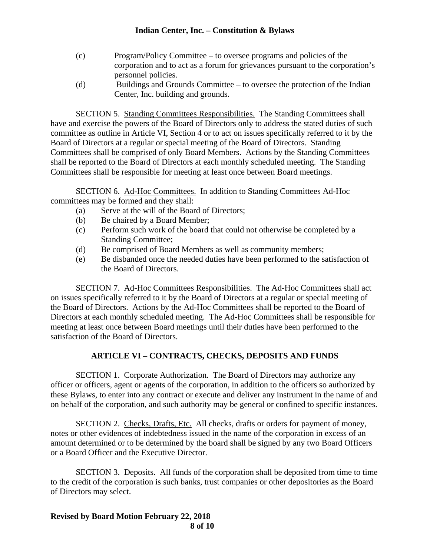- (c) Program/Policy Committee to oversee programs and policies of the corporation and to act as a forum for grievances pursuant to the corporation's personnel policies.
- (d) Buildings and Grounds Committee to oversee the protection of the Indian Center, Inc. building and grounds.

SECTION 5. Standing Committees Responsibilities. The Standing Committees shall have and exercise the powers of the Board of Directors only to address the stated duties of such committee as outline in Article VI, Section 4 or to act on issues specifically referred to it by the Board of Directors at a regular or special meeting of the Board of Directors. Standing Committees shall be comprised of only Board Members. Actions by the Standing Committees shall be reported to the Board of Directors at each monthly scheduled meeting. The Standing Committees shall be responsible for meeting at least once between Board meetings.

SECTION 6. Ad-Hoc Committees. In addition to Standing Committees Ad-Hoc committees may be formed and they shall:

- (a) Serve at the will of the Board of Directors;
- (b) Be chaired by a Board Member;
- (c) Perform such work of the board that could not otherwise be completed by a Standing Committee;
- (d) Be comprised of Board Members as well as community members;
- (e) Be disbanded once the needed duties have been performed to the satisfaction of the Board of Directors.

SECTION 7. Ad-Hoc Committees Responsibilities. The Ad-Hoc Committees shall act on issues specifically referred to it by the Board of Directors at a regular or special meeting of the Board of Directors. Actions by the Ad-Hoc Committees shall be reported to the Board of Directors at each monthly scheduled meeting. The Ad-Hoc Committees shall be responsible for meeting at least once between Board meetings until their duties have been performed to the satisfaction of the Board of Directors.

# **ARTICLE VI – CONTRACTS, CHECKS, DEPOSITS AND FUNDS**

SECTION 1. Corporate Authorization. The Board of Directors may authorize any officer or officers, agent or agents of the corporation, in addition to the officers so authorized by these Bylaws, to enter into any contract or execute and deliver any instrument in the name of and on behalf of the corporation, and such authority may be general or confined to specific instances.

SECTION 2. Checks, Drafts, Etc. All checks, drafts or orders for payment of money, notes or other evidences of indebtedness issued in the name of the corporation in excess of an amount determined or to be determined by the board shall be signed by any two Board Officers or a Board Officer and the Executive Director.

SECTION 3. Deposits. All funds of the corporation shall be deposited from time to time to the credit of the corporation is such banks, trust companies or other depositories as the Board of Directors may select.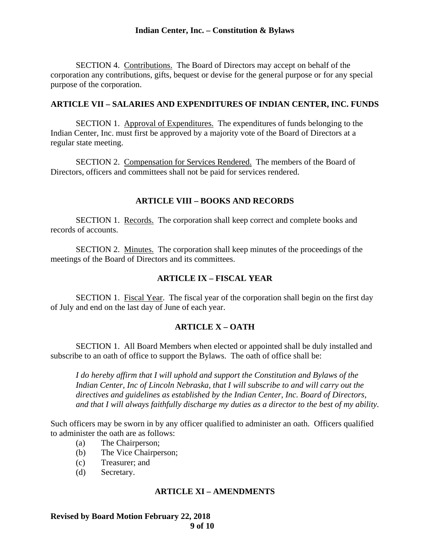SECTION 4. Contributions. The Board of Directors may accept on behalf of the corporation any contributions, gifts, bequest or devise for the general purpose or for any special purpose of the corporation.

#### **ARTICLE VII – SALARIES AND EXPENDITURES OF INDIAN CENTER, INC. FUNDS**

SECTION 1. Approval of Expenditures. The expenditures of funds belonging to the Indian Center, Inc. must first be approved by a majority vote of the Board of Directors at a regular state meeting.

SECTION 2. Compensation for Services Rendered. The members of the Board of Directors, officers and committees shall not be paid for services rendered.

### **ARTICLE VIII – BOOKS AND RECORDS**

SECTION 1. Records. The corporation shall keep correct and complete books and records of accounts.

SECTION 2. Minutes. The corporation shall keep minutes of the proceedings of the meetings of the Board of Directors and its committees.

## **ARTICLE IX – FISCAL YEAR**

SECTION 1. Fiscal Year. The fiscal year of the corporation shall begin on the first day of July and end on the last day of June of each year.

#### **ARTICLE X – OATH**

SECTION 1. All Board Members when elected or appointed shall be duly installed and subscribe to an oath of office to support the Bylaws. The oath of office shall be:

*I do hereby affirm that I will uphold and support the Constitution and Bylaws of the Indian Center, Inc of Lincoln Nebraska, that I will subscribe to and will carry out the directives and guidelines as established by the Indian Center, Inc. Board of Directors, and that I will always faithfully discharge my duties as a director to the best of my ability.* 

Such officers may be sworn in by any officer qualified to administer an oath. Officers qualified to administer the oath are as follows:

- (a) The Chairperson;
- (b) The Vice Chairperson;
- (c) Treasurer; and
- (d) Secretary.

#### **ARTICLE XI – AMENDMENTS**

**Revised by Board Motion February 22, 2018 9 of 10**